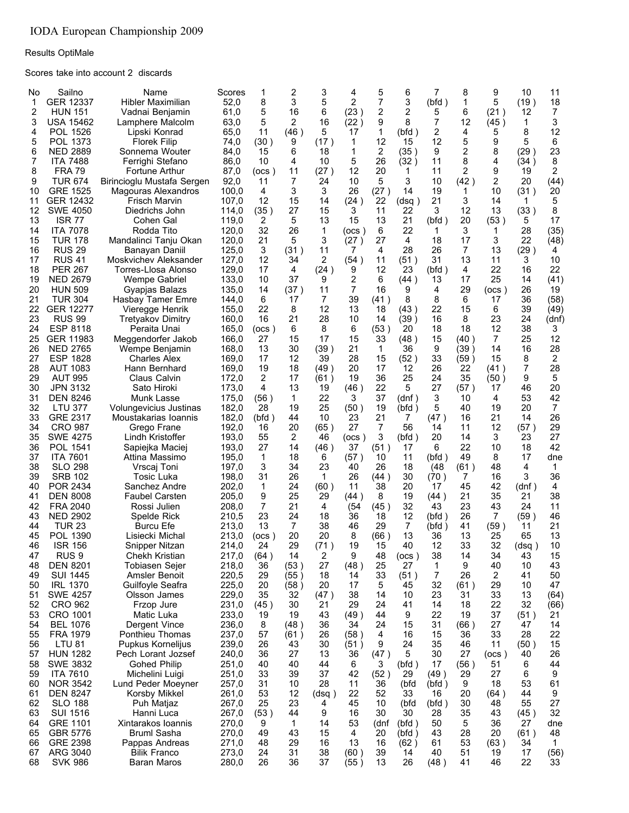Results OptiMale

Scores take into account 2 discards

| No       | Sailno                             | Name                                         | Scores         | 1           | 2         | 3           | 4          | 5          | 6           | 7            | 8          | 9          | 10         | 11             |
|----------|------------------------------------|----------------------------------------------|----------------|-------------|-----------|-------------|------------|------------|-------------|--------------|------------|------------|------------|----------------|
| 1<br>2   | GER 12337<br><b>HUN 151</b>        | Hibler Maximilian<br>Vadnai Benjamin         | 52,0<br>61,0   | 8<br>5      | 3<br>16   | 5<br>6      | 2<br>(23)  | 7<br>2     | 3<br>2      | (bfd)<br>5   | 1<br>6     | 5<br>(21)  | (19)<br>12 | 18<br>7        |
| 3        | <b>USA 15462</b>                   | Lamphere Malcolm                             | 63,0           | 5           | 2         | 16          | (22)       | 9          | 8           | 7            | 12         | (45)       | 1          | 3              |
| 4        | POL 1526                           | Lipski Konrad                                | 65,0           | 11          | (46)      | 5           | 17         | 1          | (bfd)       | 2            | 4          | 5          | 8          | 12             |
| 5        | POL 1373                           | <b>Florek Filip</b>                          | 74,0           | (30)        | 9         | (17)        | 1          | 12         | 15          | 12           | 5          | 9          | 5          | 6              |
| 6        | <b>NED 2889</b>                    | Sonnema Wouter                               | 84,0           | 15          | 6         | 18          | 1          | 2          | (35)        | 9            | 2          | 8          | (29)       | 23             |
| 7        | <b>ITA 7488</b>                    | Ferrighi Stefano                             | 86,0           | 10          | 4         | 10          | 5          | 26         | (32)        | 11           | 8          | 4          | (34)       | 8              |
| 8<br>9   | <b>FRA 79</b><br><b>TUR 674</b>    | Fortune Arthur<br>Birincioglu Mustafa Sergen | 87,0<br>92,0   | (ocs)<br>11 | 11<br>7   | (27)<br>24  | 12<br>10   | 20<br>5    | 1<br>3      | 11<br>10     | 2<br>(42)  | 9<br>2     | 19<br>20   | 2<br>(44)      |
| 10       | <b>GRE 1525</b>                    | Magouras Alexandros                          | 100,0          | 4           | 3         | 3           | 26         | (27)       | 14          | 19           | 1          | 10         | (31)       | 20             |
| 11       | GER 12432                          | Frisch Marvin                                | 107,0          | 12          | 15        | 14          | (24)       | 22         | (dsq)       | 21           | 3          | 14         | 1          | 5              |
| 12       | <b>SWE 4050</b>                    | Diedrichs John                               | 114,0          | (35)        | 27        | 15          | 3          | 11         | 22          | 3            | 12         | 13         | (33)       | 8              |
| 13       | ISR 77                             | Cohen Gal                                    | 119,0          | 2           | 5         | 13          | 15         | 13         | 21          | (bfd)        | 20         | (53)       | 5          | 17             |
| 14       | <b>ITA 7078</b>                    | Rodda Tito                                   | 120,0          | 32          | 26        | 1           | (ocs )     | 6          | 22          | 1            | 3          | 1          | 28         | (35)           |
| 15<br>16 | <b>TUR 178</b><br><b>RUS 29</b>    | Mandalinci Tanju Okan<br>Banayan Daniil      | 120,0<br>125,0 | 21<br>3     | 5<br>(31) | 3<br>11     | (27)<br>7  | 27<br>4    | 4<br>28     | 18<br>26     | 17<br>7    | 3<br>13    | 22<br>(29) | (48)           |
| 17       | <b>RUS 41</b>                      | Moskvichev Aleksander                        | 127,0          | 12          | 34        | 2           | (54)       | 11         | (51)        | 31           | 13         | 11         | 3          | 4<br>10        |
| 18       | <b>PER 267</b>                     | Torres-Llosa Alonso                          | 129,0          | 17          | 4         | (24)        | 9          | 12         | 23          | (bfd)        | 4          | 22         | 16         | 22             |
| 19       | <b>NED 2679</b>                    | <b>Wempe Gabriel</b>                         | 133,0          | 10          | 37        | 9           | 2          | 6          | (44)        | 13           | 17         | 25         | 14         | (41)           |
| 20       | <b>HUN 509</b>                     | Gyapias Balazs                               | 135,0          | 14          | (37)      | 11          | 7          | 16         | 9           | 4            | 29         | (ocs)      | 26         | 19             |
| 21       | <b>TUR 304</b>                     | Hasbay Tamer Emre                            | 144,0          | 6           | 17        | 7           | 39         | (41)       | 8           | 8            | 6          | 17         | 36         | (58)           |
| 22       | <b>GER 12277</b><br><b>RUS 99</b>  | Vieregge Henrik                              | 155,0          | 22          | 8<br>21   | 12<br>28    | 13         | 18         | (43)        | 22           | 15         | 6          | 39         | (49)           |
| 23<br>24 | <b>ESP 8118</b>                    | <b>Tretyakov Dimitry</b><br>Peraita Unai     | 160,0<br>165,0 | 16<br>(ocs) | 6         | 8           | 10<br>6    | 14<br>(53) | (39)<br>20  | 16<br>18     | 8<br>18    | 23<br>12   | 24<br>38   | (dnf)<br>3     |
| 25       | GER 11983                          | Meggendorfer Jakob                           | 166,0          | 27          | 15        | 17          | 15         | 33         | (48 )       | 15           | (40)       | 7          | 25         | 12             |
| 26       | <b>NED 2765</b>                    | Wempe Benjamin                               | 168,0          | 13          | 30        | (39)        | 21         | 1          | 36          | 9            | (39)       | 14         | 16         | 28             |
| 27       | <b>ESP 1828</b>                    | <b>Charles Alex</b>                          | 169,0          | 17          | 12        | 39          | 28         | 15         | (52)        | 33           | (59)       | 15         | 8          | 2              |
| 28       | <b>AUT 1083</b>                    | Hann Bernhard                                | 169,0          | 19          | 18        | (49)        | 20         | 17         | 12          | 26           | 22         | (41)       | 7          | 28             |
| 29       | <b>AUT 995</b>                     | Claus Calvin                                 | 172,0          | 2           | 17        | (61)        | 19         | 36         | 25          | 24           | 35         | (50)       | 9          | 5              |
| 30<br>31 | <b>JPN 3132</b><br><b>DEN 8246</b> | Sato Hiroki<br>Munk Lasse                    | 173,0<br>175,0 | 4<br>(56)   | 13<br>1   | 19<br>22    | (46)<br>3  | 22<br>37   | 5<br>(dnf ) | 27<br>3      | (57)<br>10 | 17<br>4    | 46<br>53   | 20<br>42       |
| 32       | <b>LTU 377</b>                     | Volungevicius Justinas                       | 182,0          | 28          | 19        | 25          | (50)       | 19         | (bfd)       | 5            | 40         | 19         | 20         | $\overline{7}$ |
| 33       | GRE 2317                           | Moustakarias Ioannis                         | 182,0          | (bfd)       | 44        | 10          | 23         | 21         | 7           | (47)         | 16         | 21         | 14         | 26             |
| 34       | <b>CRO 987</b>                     | Grego Frane                                  | 192,0          | 16          | 20        | (65)        | 27         | 7          | 56          | 14           | 11         | 12         | (57)       | 29             |
| 35       | <b>SWE 4275</b>                    | Lindh Kristoffer                             | 193,0          | 55          | 2         | 46          | (ocs)      | 3          | (bfd)       | 20           | 14         | 3          | 23         | 27             |
| 36       | <b>POL 1541</b>                    | Sapiejka Maciej                              | 193,0          | 27          | 14        | (46)        | 37         | (51)       | 17          | 6            | 22         | 10         | 18         | 42             |
| 37<br>38 | <b>ITA 7601</b><br><b>SLO 298</b>  | Attina Massimo<br>Vrscaj Toni                | 195,0<br>197,0 | 1<br>3      | 18<br>34  | 6<br>23     | (57)<br>40 | 10<br>26   | 11<br>18    | (bfd)<br>(48 | 49<br>(61) | 8<br>48    | 17<br>4    | dne<br>1       |
| 39       | <b>SRB 102</b>                     | Tosic Luka                                   | 198,0          | 31          | 26        | 1           | 26         | (44)       | 30          | (70)         | 7          | 16         | 3          | 36             |
| 40       | POR 2434                           | Sanchez Andre                                | 202.0          | 1           | 24        | (60)        | 11         | 38         | 20          | 17           | 45         | 42         | (dnf)      | 4              |
| 41       | <b>DEN 8008</b>                    | <b>Faubel Carsten</b>                        | 205,0          | 9           | 25        | 29          | (44)       | 8          | 19          | (44)         | 21         | 35         | 21         | 38             |
| 42       | <b>FRA 2040</b>                    | Rossi Julien                                 | 208.0          | 7           | 21        | 4           | (54)       | (45 )      | 32          | 43           | 23         | 43         | 24         | 11             |
| 43       | <b>NED 2902</b>                    | Spelde Rick                                  | 210,5          | 23          | 24        | 18          | 36         | 18         | 12          | (bfd)        | 26         | 7          | (59)       | 46             |
| 44<br>45 | <b>TUR 23</b><br>POL 1390          | Burcu Efe<br>Lisiecki Michal                 | 213,0<br>213,0 | 13<br>(ocs) | 7<br>20   | 38<br>20    | 46<br>8    | 29<br>(66) | 7<br>13     | (bfd)<br>36  | 41<br>13   | (59)<br>25 | 11<br>65   | 21<br>13       |
| 46       | <b>ISR 156</b>                     | Snipper Nitzan                               | 214,0          | 24          | 29        | (71)        | 19         | 15         | 40          | 12           | 33         | 32         | (dsq)      | 10             |
| 47       | RUS <sub>9</sub>                   | Chekh Kristian                               | 217,0          | (64)        | 14        | 2           | 9          | 48         | (ocs)       | 38           | 14         | 34         | 43         | 15             |
| 48       | <b>DEN 8201</b>                    | <b>Tobiasen Sejer</b>                        | 218,0          | 36          | (53)      | 27          | (48)       | 25         | 27          | 1            | 9          | 40         | 10         | 43             |
| 49       | <b>SUI 1445</b>                    | Amsler Benoit                                | 220,5          | 29          | (55)      | 18          | 14         | 33         | (51)        | 7            | 26         | 2          | 41         | 50             |
| 50       | <b>IRL 1370</b>                    | Guilfoyle Seafra                             | 225,0          | 20          | (58)      | 20          | 17         | 5          | 45          | 32           | (61)       | 29         | 10         | 47             |
| 51       | <b>SWE 4257</b>                    | Olsson James                                 | 229,0          | 35          | 32<br>30  | (47)        | 38<br>29   | 14<br>24   | 10          | 23<br>14     | 31         | 33         | 13<br>32   | (64)           |
| 52<br>53 | <b>CRO 962</b><br>CRO 1001         | Frzop Jure<br>Matic Luka                     | 231,0<br>233,0 | (45)<br>19  | 19        | 21<br>43    | (49)       | 44         | 41<br>9     | 22           | 18<br>19   | 22<br>37   | (51)       | (66)<br>21     |
| 54       | <b>BEL 1076</b>                    | Dergent Vince                                | 236,0          | 8           | (48)      | 36          | 34         | 24         | 15          | 31           | (66)       | 27         | 47         | 14             |
| 55       | <b>FRA 1979</b>                    | Ponthieu Thomas                              | 237,0          | 57          | (61)      | 26          | (58)       | 4          | 16          | 15           | 36         | 33         | 28         | 22             |
| 56       | <b>LTU 81</b>                      | Pupkus Kornelijus                            | 239,0          | 26          | 43        | 30          | (51)       | 9          | 24          | 35           | 46         | 11         | (50)       | 15             |
| 57       | <b>HUN 1282</b>                    | Pech Lorant Jozsef                           | 240,0          | 36          | 27        | 13          | 36         | (47)       | 5           | 30           | 27         | (ocs )     | 40         | 26             |
| 58       | SWE 3832                           | <b>Gohed Philip</b>                          | 251,0          | 40          | 40        | 44          | 6          | 3          | (bfd)       | 17           | (56)       | 51         | 6          | 44             |
| 59       | <b>ITA 7610</b>                    | Michelini Luigi                              | 251,0          | 33          | 39        | 37          | 42         | (52)       | 29          | (49)         | 29         | 27         | 6          | 9              |
| 60<br>61 | <b>NOR 3542</b><br><b>DEN 8247</b> | Lund Peder Moeyner<br>Korsby Mikkel          | 257,0<br>261,0 | 31<br>53    | 10<br>12  | 28<br>(dsq) | 11<br>22   | 36<br>52   | (bfd<br>33  | (bfd)<br>16  | 9<br>20    | 18<br>(64) | 53<br>44   | 61<br>9        |
| 62       | <b>SLO 188</b>                     | Puh Matjaz                                   | 267,0          | 25          | 23        | 4           | 45         | 10         | (bfd        | (bfd)        | 30         | 48         | 55         | 27             |
| 63       | <b>SUI 1516</b>                    | Hanni Luca                                   | 267,0          | (53)        | 44        | 9           | 16         | 30         | 30          | 28           | 35         | 43         | (45)       | 32             |
| 64       | <b>GRE 1101</b>                    | Xintarakos Ioannis                           | 270,0          | 9           | 1         | 14          | 53         | (dnf       | (bfd)       | 50           | 5          | 36         | 27         | dne            |
| 65       | GBR 5776                           | <b>Bruml Sasha</b>                           | 270,0          | 49          | 43        | 15          | 4          | 20         | (bfd)       | 43           | 28         | 20         | (61)       | 48             |
| 66       | GRE 2398                           | Pappas Andreas                               | 271,0          | 48          | 29        | 16          | 13         | 16         | (62)        | 61           | 53         | (63)       | 34         | 1              |
| 67       | ARG 3040                           | <b>Bilik Franco</b>                          | 273,0          | 24          | 31        | 38          | (60)       | 39         | 14          | 40           | 51         | 19         | 17         | (56)           |
| 68       | <b>SVK 986</b>                     | Baran Maros                                  | 280,0          | 26          | 36        | 37          | (55)       | 13         | 26          | (48)         | 41         | 46         | 22         | 33             |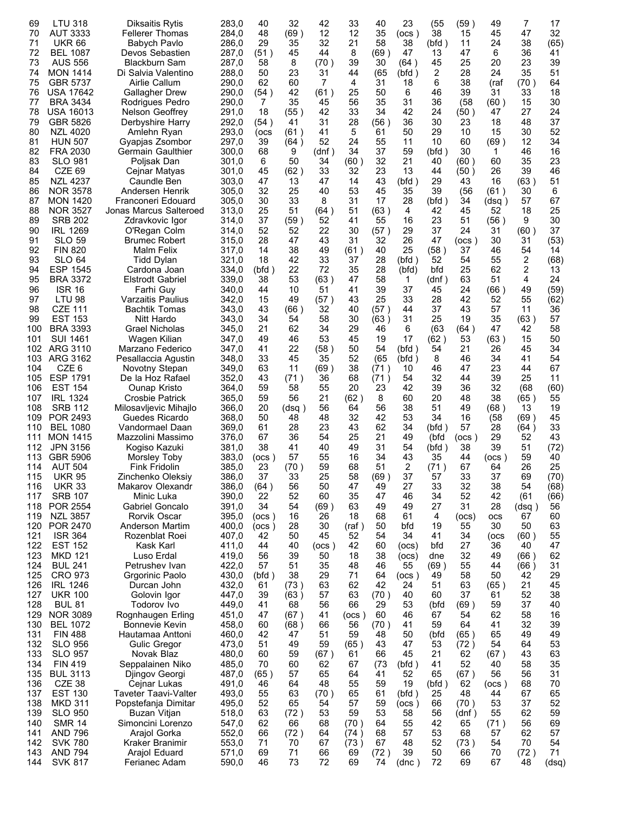| 69         | <b>LTU 318</b>                     | <b>Diksaitis Rytis</b>                  | 283,0          | 40         | 32          | 42         | 33         | 40         | 23            | (55)       | (59)          | 49          | 7             | 17         |
|------------|------------------------------------|-----------------------------------------|----------------|------------|-------------|------------|------------|------------|---------------|------------|---------------|-------------|---------------|------------|
| 70         | <b>AUT 3333</b>                    | <b>Fellerer Thomas</b>                  | 284,0          | 48         | (69)        | 12         | 12         | 35         | (ocs)         | 38         | 15            | 45          | 47            | 32         |
| 71         | <b>UKR 66</b>                      | Babych Pavlo                            | 286,0          | 29         | 35          | 32         | 21         | 58         | 38            | (bfd)      | 11            | 24          | 38            | (65)       |
| 72         | <b>BEL 1087</b>                    | Devos Sebastien                         | 287,0          | (51)       | 45          | 44         | 8          | (69)       | 47            | 13         | 47            | 6           | 36            | 41         |
| 73<br>74   | AUS 556<br><b>MON 1414</b>         | Blackburn Sam<br>Di Salvia Valentino    | 287,0<br>288,0 | 58<br>50   | 8<br>23     | (70)<br>31 | 39<br>44   | 30<br>(65  | (64)<br>(bfd) | 45<br>2    | 25<br>28      | 20<br>24    | 23<br>35      | 39<br>51   |
| 75         | <b>GBR 5737</b>                    | Airlie Callum                           | 290,0          | 62         | 60          | 7          | 4          | 31         | 18            | 6          | 38            | (raf        | (70)          | 64         |
| 76         | <b>USA 17642</b>                   | <b>Gallagher Drew</b>                   | 290,0          | (54)       | 42          | (61)       | 25         | 50         | 6             | 46         | 39            | 31          | 33            | 18         |
| 77         | <b>BRA 3434</b>                    | Rodrigues Pedro                         | 290,0          | 7          | 35          | 45         | 56         | 35         | 31            | 36         | (58)          | (60)        | 15            | 30         |
| 78         | USA 16013                          | Nelson Geoffrey                         | 291,0          | 18         | (55)        | 42         | 33         | 34         | 42            | 24         | (50)          | 47          | 27            | 24         |
| 79         | GBR 5826                           | Derbyshire Harry                        | 292,0          | (54)       | 41          | 31         | 28         | (56)       | 36            | 30         | 23            | 18          | 48            | 37         |
| 80         | <b>NZL 4020</b>                    | Amlehn Ryan                             | 293,0          | (OCS       | (61)        | 41         | 5          | 61         | 50            | 29         | 10            | 15          | 30            | 52         |
| 81         | <b>HUN 507</b>                     | Gyapias Zsombor                         | 297,0          | 39         | (64)        | 52         | 24         | 55         | 11            | 10         | 60            | (69)        | 12            | 34         |
| 82         | <b>FRA 2030</b>                    | <b>Germain Gaulthier</b>                | 300,0          | 68         | 9           | (dnf)      | 34         | 37         | 59            | (bfd)      | 30            | 1           | 46            | 16         |
| 83         | <b>SLO 981</b>                     | Polisak Dan                             | 301,0          | 6          | 50          | 34         | (60)       | 32         | 21            | 40         | (60 )         | 60          | 35            | 23         |
| 84         | CZE 69                             | Cejnar Matyas                           | 301,0          | 45         | (62)        | 33         | 32         | 23         | 13            | 44         | (50)          | 26          | 39            | 46         |
| 85         | <b>NZL 4237</b><br><b>NOR 3578</b> | Caundle Ben<br>Andersen Henrik          | 303,0<br>305,0 | 47         | 13<br>25    | 47<br>40   | 14         | 43         | (bfd)         | 29<br>39   | 43            | 16<br>(61)  | (63)          | 51         |
| 86<br>87   | <b>MON 1420</b>                    | Franconeri Edouard                      | 305,0          | 32<br>30   | 33          | 8          | 53<br>31   | 45<br>17   | 35<br>28      | (bfd)      | (56<br>34     | (dsq)       | 30<br>57      | 6<br>67    |
| 88         | <b>NOR 3527</b>                    | Jonas Marcus Salteroed                  | 313,0          | 25         | 51          | (64)       | 51         | (63 )      | 4             | 42         | 45            | 52          | 18            | 25         |
| 89         | <b>SRB 202</b>                     | Zdravkovic Igor                         | 314,0          | 37         | (59)        | 52         | 41         | 55         | 16            | 23         | 51            | (56)        | 9             | 30         |
| 90         | <b>IRL 1269</b>                    | O'Regan Colm                            | 314,0          | 52         | 52          | 22         | 30         | (57)       | 29            | 37         | 24            | 31          | (60)          | 37         |
| 91         | <b>SLO 59</b>                      | <b>Brumec Robert</b>                    | 315,0          | 28         | 47          | 43         | 31         | 32         | 26            | 47         | (ocs )        | 30          | 31            | (53)       |
| 92         | <b>FIN 820</b>                     | Malm Felix                              | 317,0          | 14         | 38          | 49         | (61)       | 40         | 25            | (58)       | 37            | 46          | 54            | 14         |
| 93         | SLO 64                             | Tidd Dylan                              | 321,0          | 18         | 42          | 33         | 37         | 28         | (bfd)         | 52         | 54            | 55          | 2             | (68)       |
| 94         | ESP 1545                           | Cardona Joan                            | 334,0          | (bfd)      | 22          | 72         | 35         | 28         | (bfd)         | bfd        | 25            | 62          | 2             | 13         |
| 95         | <b>BRA 3372</b>                    | <b>Elstrodt Gabriel</b>                 | 339,0          | 38         | 53          | (63)       | 47         | 58         | 1             | (dnf)      | 63            | 51          | 4             | 24         |
| 96<br>97   | <b>ISR 16</b><br><b>LTU 98</b>     | Farhi Guy<br><b>Varzaitis Paulius</b>   | 340,0<br>342,0 | 44         | 10          | 51         | 41<br>43   | 39<br>25   | 37<br>33      | 45         | 24<br>42      | (66)        | 49<br>55      | (59)       |
| 98         | CZE 111                            | Bachtik Tomas                           | 343,0          | 15<br>43   | 49<br>(66)  | (57)<br>32 | 40         | (57)       | 44            | 28<br>37   | 43            | 52<br>57    | 11            | (62)<br>36 |
| 99         | <b>EST 153</b>                     | Nitt Hardo                              | 343,0          | 34         | 54          | 58         | 30         | (63)       | 31            | 25         | 19            | 35          | (63)          | 57         |
| 100        | <b>BRA 3393</b>                    | <b>Grael Nicholas</b>                   | 345,0          | 21         | 62          | 34         | 29         | 46         | 6             | (63        | (64)          | 47          | 42            | 58         |
| 101        | <b>SUI 1461</b>                    | Wagen Kilian                            | 347,0          | 49         | 46          | 53         | 45         | 19         | 17            | (62)       | 53            | (63)        | 15            | 50         |
| 102        | ARG 3110                           | Marzano Federico                        | 347,0          | 41         | 22          | (58)       | 50         | 54         | (bfd)         | 54         | 21            | 26          | 45            | 34         |
| 103        | ARG 3162                           | Pesallaccia Agustin                     | 348,0          | 33         | 45          | 35         | 52         | (65        | (bfd)         | 8          | 46            | 34          | 41            | 54         |
| 104        | CZE 6                              | Novotny Stepan                          | 349,0          | 63         | 11          | (69)       | 38         | (71)       | 10            | 46         | 47            | 23          | 44            | 67         |
| 105        | <b>ESP 1791</b>                    | De la Hoz Rafael                        | 352,0          | 43         | (71)        | 36         | 68         | (71)       | 54            | 32         | 44            | 39          | 25            | 11         |
| 106        | <b>EST 154</b>                     | Ounap Kristo                            | 364,0          | 59         | 58          | 55         | 20         | 23         | 42            | 39         | 36            | 32          | (68           | (60)       |
| 107        | <b>IRL 1324</b>                    | Crosbie Patrick                         | 365,0          | 59         | 56          | 21         | (62)<br>64 | 8<br>56    | 60<br>38      | 20<br>51   | 48            | 38          | (65)          | 55         |
| 108<br>109 | <b>SRB 112</b><br>POR 2493         | Milosavljevic Mihajlo<br>Guedes Ricardo | 366,0<br>368,0 | 20<br>50   | (dsq)<br>48 | 56<br>48   | 32         | 42         | 53            | 34         | 49<br>16      | (68)<br>(58 | 13<br>(69)    | 19<br>45   |
| 110        | <b>BEL 1080</b>                    | Vandormael Daan                         | 369,0          | 61         | 28          | 23         | 43         | 62         | 34            | (bfd)      | 57            | 28          | (64)          | 33         |
| 111        | <b>MON 1415</b>                    | Mazzolini Massimo                       | 376,0          | 67         | 36          | 54         | 25         | 21         | 49            | (bfd       | (ocs)         | 29          | 52            | 43         |
| 112        | <b>JPN 3156</b>                    | Kogiso Kazuki                           | 381,0          | 38         | 41          | 40         | 49         | 31         | 54            | (bfd)      | 38            | 39          | 51            | (72)       |
| 113        | GBR 5906                           | Morsley Toby                            | 383,0          | (ocs)      | 57          | 55         | 16         | 34         | 43            | 35         | 44            | (ocs)       | 59            | 40         |
| 114        | <b>AUT 504</b>                     | Fink Fridolin                           | 385,0          | 23         | (70)        | 59         | 68         | 51         | 2             | (71)       | 67            | 64          | 26            | 25         |
| 115        | <b>UKR 95</b>                      | Zinchenko Oleksiy                       | 386,0          | 37         | 33          | 25         | 58         | (69)       | 37            | 57         | 33            | 37          | 69            | (70)       |
| 116        | <b>UKR 33</b>                      | Makarov Olexandr                        | 386,0          | (64)<br>22 | 56          | 50<br>60   | 47<br>35   | 49         | 27            | 33         | 32            | 38          | 54            | (68)       |
| 117<br>118 | <b>SRB 107</b><br>POR 2554         | Minic Luka<br>Gabriel Goncalo           | 390,0<br>391,0 | 34         | 52<br>54    | (69)       | 63         | 47<br>49   | 46<br>49      | 34<br>27   | 52<br>31      | 42<br>28    | (61)<br>(dsq) | (66)<br>56 |
| 119        | <b>NZL 3857</b>                    | Rorvik Oscar                            | 395,0          | (ocs)      | 16          | 26         | 18         | 68         | 61            | 4          | (ocs)         | <b>OCS</b>  | 67            | 60         |
| 120        | POR 2470                           | Anderson Martim                         | 400,0          | (ocs)      | 28          | 30         | (raf)      | 50         | bfd           | 19         | 55            | 30          | 50            | 63         |
| 121        | <b>ISR 364</b>                     | Rozenblat Roei                          | 407,0          | 42         | 50          | 45         | 52         | 54         | 34            | 41         | 34            | (ocs        | (60)          | 55         |
| 122        | <b>EST 152</b>                     | Kask Karl                               | 411,0          | 44         | 40          | (ocs )     | 42         | 60         | (ocs)         | bfd        | 27            | 36          | 40            | 47         |
| 123        | MKD 121                            | Luso Erdal                              | 419,0          | 56         | 39          | 50         | 18         | 38         | (ocs)         | dne        | 32            | 49          | (66)          | 62         |
| 124        | <b>BUL 241</b>                     | Petrushev Ivan                          | 422,0          | 57         | 51          | 35         | 48         | 46         | 55            | (69)       | 55            | 44          | (66)          | 31         |
| 125        | <b>CRO 973</b>                     | Grgorinic Paolo                         | 430,0          | (bfd)      | 38          | 29         | 71         | 64         | (ocs)         | 49         | 58            | 50          | 42            | 29         |
| 126        | <b>IRL 1246</b><br><b>UKR 100</b>  | Durcan John                             | 432,0          | 61         | (73)        | 63<br>57   | 62<br>63   | 42         | 24            | 51         | 63<br>37      | (65)        | 21<br>52      | 45         |
| 127<br>128 | <b>BUL 81</b>                      | Golovin Igor<br><b>Todorov Ivo</b>      | 447,0<br>449,0 | 39<br>41   | (63)<br>68  | 56         | 66         | (70)<br>29 | 40<br>53      | 60<br>(bfd | (69)          | 61<br>59    | 37            | 38<br>40   |
| 129        | <b>NOR 3089</b>                    | Rognhaugen Erling                       | 451,0          | 47         | (67)        | 41         | (ocs)      | 60         | 46            | 67         | 54            | 62          | 58            | 16         |
| 130        | <b>BEL 1072</b>                    | Bonnevie Kevin                          | 458,0          | 60         | (68)        | 66         | 56         | (70)       | 41            | 59         | 64            | 41          | 32            | 39         |
| 131        | <b>FIN 488</b>                     | Hautamaa Anttoni                        | 460,0          | 42         | 47          | 51         | 59         | 48         | 50            | (bfd       | (65)          | 65          | 49            | 49         |
| 132        | <b>SLO 956</b>                     | Gulic Gregor                            | 473,0          | 51         | 49          | 59         | (65)       | 43         | 47            | 53         | (72)          | 54          | 64            | 53         |
| 133        | <b>SLO 957</b>                     | Novak Blaz                              | 480,0          | 60         | 59          | (67)       | 61         | 66         | 45            | 21         | 62            | (67)        | 43            | 63         |
| 134        | <b>FIN 419</b>                     | Seppalainen Niko                        | 485,0          | 70         | 60          | 62         | 67         | (73)       | (bfd)         | 41         | 52            | 40          | 58            | 35         |
| 135        | <b>BUL 3113</b>                    | Djingov Georgi                          | 487,0          | (65)       | 57          | 65         | 64         | 41         | 52            | 65         | (67)          | 56          | 56            | 31         |
| 136        | CZE 38                             | Cejnar Lukas                            | 491,0          | 46         | 64          | 48         | 55         | 59         | 19            | (bfd)      | 62            | (ocs)       | 68            | 70         |
| 137        | <b>EST 130</b>                     | <b>Taveter Taavi-Valter</b>             | 493,0          | 55         | 63          | (70)       | 65         | 61         | (bfd)         | 25         | 48            | 44          | 67            | 65         |
| 138<br>139 | <b>MKD 311</b><br><b>SLO 950</b>   | Popstefanja Dimitar<br>Buzan Vitjan     | 495,0<br>518,0 | 52<br>63   | 65<br>(72)  | 54<br>53   | 57<br>59   | 59<br>53   | (ocs)<br>58   | 66<br>56   | (70)<br>(dnf) | 53<br>55    | 37<br>62      | 52<br>59   |
| 140        | <b>SMR 14</b>                      | Simoncini Lorenzo                       | 547,0          | 62         | 66          | 68         | (70)       | 64         | 55            | 42         | 65            | (71)        | 56            | 69         |
| 141        | <b>AND 796</b>                     | Arajol Gorka                            | 552,0          | 66         | (72)        | 64         | (74)       | 68         | 57            | 53         | 68            | 57          | 62            | 57         |
| 142        | <b>SVK 780</b>                     | Kraker Branimir                         | 553,0          | 71         | 70          | 67         | (73)       | 67         | 48            | 52         | (73)          | 54          | 70            | 54         |
| 143        | <b>AND 794</b>                     | Arajol Eduard                           | 571,0          | 69         | 71          | 66         | 69         | (72)       | 39            | 50         | 66            | 70          | (72)          | 71         |
| 144        | <b>SVK 817</b>                     | Ferianec Adam                           | 590,0          | 46         | 73          | 72         | 69         | 74         | (dnc)         | 72         | 69            | 67          | 48            | (dsq)      |